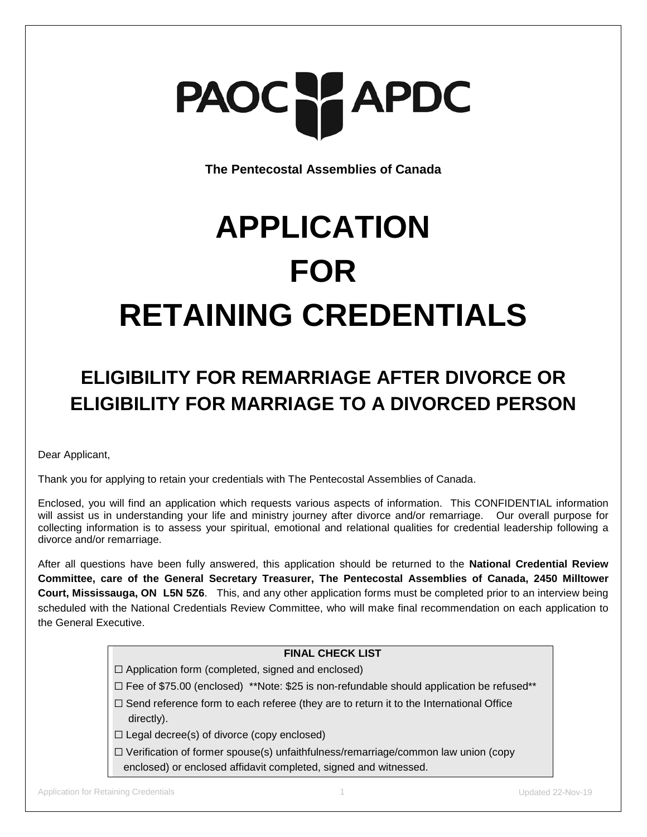

**The Pentecostal Assemblies of Canada**

## **APPLICATION FOR RETAINING CREDENTIALS**

## **ELIGIBILITY FOR REMARRIAGE AFTER DIVORCE OR ELIGIBILITY FOR MARRIAGE TO A DIVORCED PERSON**

Dear Applicant,

Thank you for applying to retain your credentials with The Pentecostal Assemblies of Canada.

Enclosed, you will find an application which requests various aspects of information. This CONFIDENTIAL information will assist us in understanding your life and ministry journey after divorce and/or remarriage. Our overall purpose for collecting information is to assess your spiritual, emotional and relational qualities for credential leadership following a divorce and/or remarriage.

After all questions have been fully answered, this application should be returned to the **National Credential Review Committee, care of the General Secretary Treasurer, The Pentecostal Assemblies of Canada, 2450 Milltower Court, Mississauga, ON L5N 5Z6**. This, and any other application forms must be completed prior to an interview being scheduled with the National Credentials Review Committee, who will make final recommendation on each application to the General Executive.

#### **FINAL CHECK LIST**

- $\Box$  Application form (completed, signed and enclosed)
- $\square$  Fee of \$75.00 (enclosed) \*\*Note: \$25 is non-refundable should application be refused\*\*
- $\Box$  Send reference form to each referee (they are to return it to the International Office directly).
- $\Box$  Legal decree(s) of divorce (copy enclosed)
- $\Box$  Verification of former spouse(s) unfaithfulness/remarriage/common law union (copy enclosed) or enclosed affidavit completed, signed and witnessed.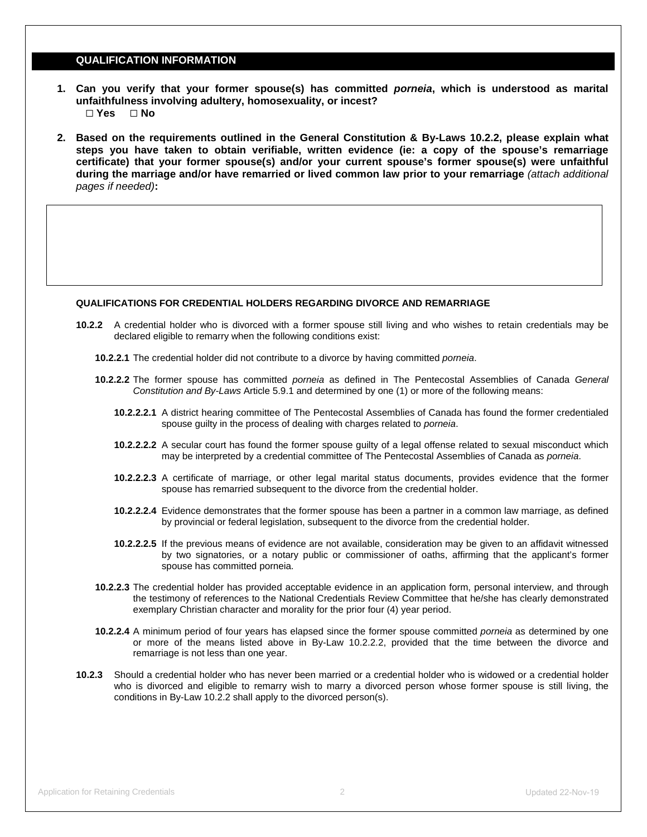#### **QUALIFICATION INFORMATION**

- **1. Can you verify that your former spouse(s) has committed** *porneia***, which is understood as marital unfaithfulness involving adultery, homosexuality, or incest?** ☐ **Yes** ☐ **No**
- **2. Based on the requirements outlined in the General Constitution & By-Laws 10.2.2, please explain what steps you have taken to obtain verifiable, written evidence (ie: a copy of the spouse's remarriage certificate) that your former spouse(s) and/or your current spouse's former spouse(s) were unfaithful during the marriage and/or have remarried or lived common law prior to your remarriage** *(attach additional pages if needed)***:**

#### **QUALIFICATIONS FOR CREDENTIAL HOLDERS REGARDING DIVORCE AND REMARRIAGE**

- **10.2.2** A credential holder who is divorced with a former spouse still living and who wishes to retain credentials may be declared eligible to remarry when the following conditions exist:
	- **10.2.2.1** The credential holder did not contribute to a divorce by having committed *porneia*.
	- **10.2.2.2** The former spouse has committed *porneia* as defined in The Pentecostal Assemblies of Canada *General Constitution and By-Laws* Article 5.9.1 and determined by one (1) or more of the following means:
		- **10.2.2.2.1** A district hearing committee of The Pentecostal Assemblies of Canada has found the former credentialed spouse guilty in the process of dealing with charges related to *porneia*.
		- **10.2.2.2.2** A secular court has found the former spouse guilty of a legal offense related to sexual misconduct which may be interpreted by a credential committee of The Pentecostal Assemblies of Canada as *porneia*.
		- **10.2.2.2.3** A certificate of marriage, or other legal marital status documents, provides evidence that the former spouse has remarried subsequent to the divorce from the credential holder.
		- **10.2.2.2.4** Evidence demonstrates that the former spouse has been a partner in a common law marriage, as defined by provincial or federal legislation, subsequent to the divorce from the credential holder.
		- **10.2.2.2.5** If the previous means of evidence are not available, consideration may be given to an affidavit witnessed by two signatories, or a notary public or commissioner of oaths, affirming that the applicant's former spouse has committed porneia.
	- **10.2.2.3** The credential holder has provided acceptable evidence in an application form, personal interview, and through the testimony of references to the National Credentials Review Committee that he/she has clearly demonstrated exemplary Christian character and morality for the prior four (4) year period.
	- **10.2.2.4** A minimum period of four years has elapsed since the former spouse committed *porneia* as determined by one or more of the means listed above in By-Law 10.2.2.2, provided that the time between the divorce and remarriage is not less than one year.
- **10.2.3** Should a credential holder who has never been married or a credential holder who is widowed or a credential holder who is divorced and eligible to remarry wish to marry a divorced person whose former spouse is still living, the conditions in By-Law 10.2.2 shall apply to the divorced person(s).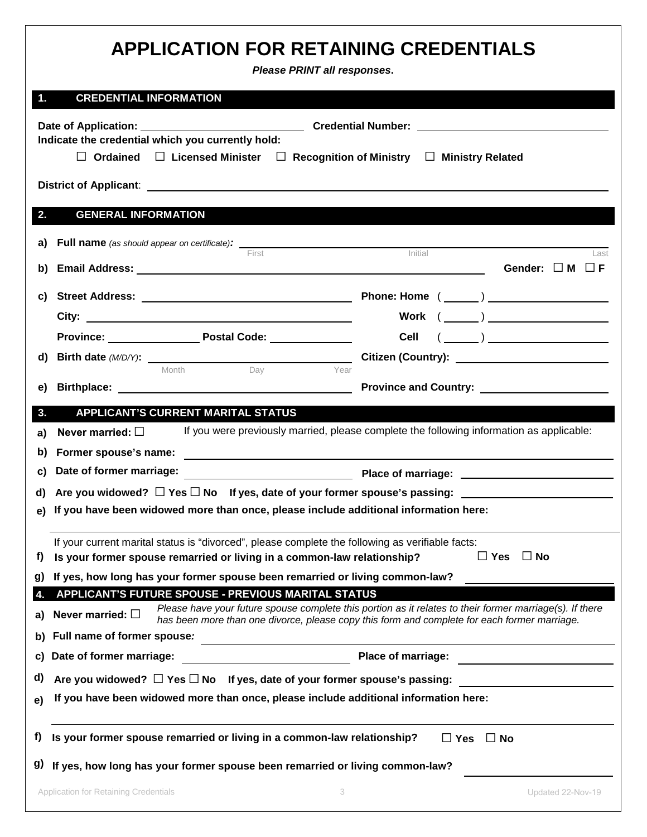|               | <b>APPLICATION FOR RETAINING CREDENTIALS</b>                                                                                                                                | Please PRINT all responses.                                                                                                                                                                              |                           |
|---------------|-----------------------------------------------------------------------------------------------------------------------------------------------------------------------------|----------------------------------------------------------------------------------------------------------------------------------------------------------------------------------------------------------|---------------------------|
| $\mathbf 1$ . | <b>CREDENTIAL INFORMATION</b>                                                                                                                                               |                                                                                                                                                                                                          |                           |
|               | Indicate the credential which you currently hold:<br>$\Box$ Ordained $\Box$ Licensed Minister $\Box$ Recognition of Ministry $\Box$ Ministry Related                        |                                                                                                                                                                                                          |                           |
|               |                                                                                                                                                                             |                                                                                                                                                                                                          |                           |
| 2.            | <b>GENERAL INFORMATION</b>                                                                                                                                                  |                                                                                                                                                                                                          |                           |
|               | <b>a)</b> Full name (as should appear on certificate): First First Initial                                                                                                  |                                                                                                                                                                                                          | Last                      |
| b)            |                                                                                                                                                                             |                                                                                                                                                                                                          | Gender: $\Box$ M $\Box$ F |
|               |                                                                                                                                                                             |                                                                                                                                                                                                          |                           |
|               |                                                                                                                                                                             |                                                                                                                                                                                                          | Work $(\_\_)$             |
|               | Province: Province: Postal Code: Province:                                                                                                                                  |                                                                                                                                                                                                          | Cell $(\_\_\_\_)$         |
| d)            |                                                                                                                                                                             |                                                                                                                                                                                                          |                           |
| e)            | Day<br>Month                                                                                                                                                                | Year                                                                                                                                                                                                     |                           |
|               |                                                                                                                                                                             |                                                                                                                                                                                                          |                           |
| 3.            | <b>APPLICANT'S CURRENT MARITAL STATUS</b><br>Never married: $\square$                                                                                                       | If you were previously married, please complete the following information as applicable:                                                                                                                 |                           |
| a)<br>b)      | Former spouse's name:                                                                                                                                                       |                                                                                                                                                                                                          |                           |
| C)            | Date of former marriage: <u>contract and a property place of marriage:</u> contract of former marriage:                                                                     |                                                                                                                                                                                                          |                           |
|               | d) Are you widowed? $\Box$ Yes $\Box$ No If yes, date of your former spouse's passing: $\Box$                                                                               |                                                                                                                                                                                                          |                           |
|               | e) If you have been widowed more than once, please include additional information here:                                                                                     |                                                                                                                                                                                                          |                           |
|               |                                                                                                                                                                             |                                                                                                                                                                                                          |                           |
| f)            | If your current marital status is "divorced", please complete the following as verifiable facts:<br>Is your former spouse remarried or living in a common-law relationship? |                                                                                                                                                                                                          | $\Box$ Yes<br>$\Box$ No   |
| g)            | If yes, how long has your former spouse been remarried or living common-law?                                                                                                |                                                                                                                                                                                                          |                           |
| 4.            | APPLICANT'S FUTURE SPOUSE - PREVIOUS MARITAL STATUS                                                                                                                         |                                                                                                                                                                                                          |                           |
| a)            | Never married: $\square$                                                                                                                                                    | Please have your future spouse complete this portion as it relates to their former marriage(s). If there<br>has been more than one divorce, please copy this form and complete for each former marriage. |                           |
| b)            | Full name of former spouse:                                                                                                                                                 |                                                                                                                                                                                                          |                           |
| C)            | Date of former marriage:                                                                                                                                                    | Place of marriage:                                                                                                                                                                                       |                           |
| d)            | Are you widowed? $\Box$ Yes $\Box$ No If yes, date of your former spouse's passing:                                                                                         |                                                                                                                                                                                                          |                           |
| e)            | If you have been widowed more than once, please include additional information here:                                                                                        |                                                                                                                                                                                                          |                           |
| f)<br>g)      | Is your former spouse remarried or living in a common-law relationship?<br>If yes, how long has your former spouse been remarried or living common-law?                     | $\Box$ Yes                                                                                                                                                                                               | $\Box$ No                 |
|               | Application for Retaining Credentials                                                                                                                                       | 3                                                                                                                                                                                                        | Updated 22-Nov-19         |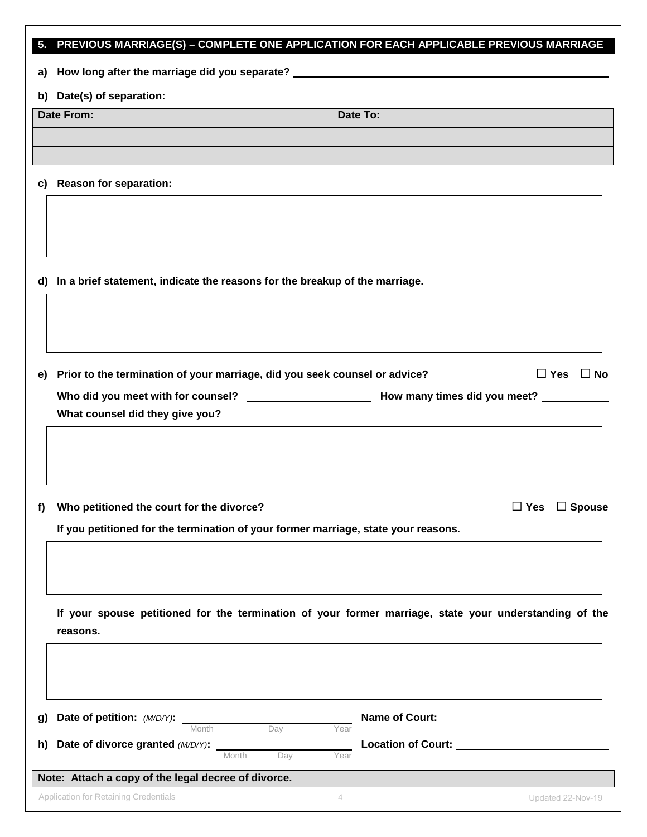|    | 5. PREVIOUS MARRIAGE(S) - COMPLETE ONE APPLICATION FOR EACH APPLICABLE PREVIOUS MARRIAGE |                                                                                                        |
|----|------------------------------------------------------------------------------------------|--------------------------------------------------------------------------------------------------------|
|    | a) How long after the marriage did you separate? ________________________________        |                                                                                                        |
|    | b) Date(s) of separation:                                                                |                                                                                                        |
|    | Date From:                                                                               | Date To:                                                                                               |
|    |                                                                                          |                                                                                                        |
|    |                                                                                          |                                                                                                        |
| C) | <b>Reason for separation:</b>                                                            |                                                                                                        |
|    |                                                                                          |                                                                                                        |
|    |                                                                                          |                                                                                                        |
|    |                                                                                          |                                                                                                        |
|    | d) In a brief statement, indicate the reasons for the breakup of the marriage.           |                                                                                                        |
|    |                                                                                          |                                                                                                        |
|    |                                                                                          |                                                                                                        |
|    |                                                                                          |                                                                                                        |
| e) | Prior to the termination of your marriage, did you seek counsel or advice?               | $\Box$ Yes $\Box$ No                                                                                   |
|    |                                                                                          |                                                                                                        |
|    | What counsel did they give you?                                                          |                                                                                                        |
|    |                                                                                          |                                                                                                        |
|    |                                                                                          |                                                                                                        |
|    |                                                                                          |                                                                                                        |
| f) | Who petitioned the court for the divorce?                                                | $\Box$ Yes<br>$\Box$ Spouse                                                                            |
|    | If you petitioned for the termination of your former marriage, state your reasons.       |                                                                                                        |
|    |                                                                                          |                                                                                                        |
|    |                                                                                          |                                                                                                        |
|    |                                                                                          |                                                                                                        |
|    |                                                                                          | If your spouse petitioned for the termination of your former marriage, state your understanding of the |
|    | reasons.                                                                                 |                                                                                                        |
|    |                                                                                          |                                                                                                        |
|    |                                                                                          |                                                                                                        |
| g) | Date of petition: (M/D/Y):                                                               |                                                                                                        |
|    | Month<br>Day                                                                             | Year                                                                                                   |
| h) | Date of divorce granted (M/D/Y):<br>Month<br>Day                                         | Year                                                                                                   |
|    | Note: Attach a copy of the legal decree of divorce.                                      |                                                                                                        |

Application for Retaining Credentials **According to the Contract According According According Credentials** 4 Updated 22-Nov-19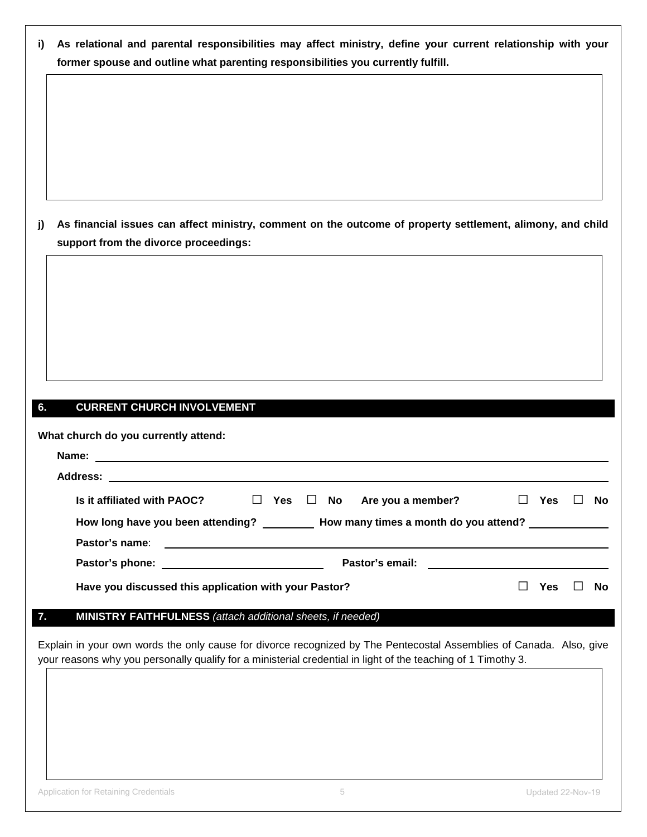| i) As relational and parental responsibilities may affect ministry, define your current relationship with your |
|----------------------------------------------------------------------------------------------------------------|
| former spouse and outline what parenting responsibilities you currently fulfill.                               |

**j) As financial issues can affect ministry, comment on the outcome of property settlement, alimony, and child support from the divorce proceedings:**

#### **6. CURRENT CHURCH INVOLVEMENT**

| What church do you currently attend:                  |  |                                                                                   |            |   |     |
|-------------------------------------------------------|--|-----------------------------------------------------------------------------------|------------|---|-----|
|                                                       |  |                                                                                   |            |   |     |
|                                                       |  |                                                                                   |            |   |     |
|                                                       |  | Is it affiliated with PAOC? $\square$ Yes $\square$ No Are you a member?          | $\Box$ Yes | H | No. |
|                                                       |  | How long have you been attending? How many times a month do you attend?           |            |   |     |
|                                                       |  |                                                                                   |            |   |     |
|                                                       |  | Pastor's email:<br><u> 1986 - Johann Stein, mars an de British Barbara (b. 19</u> |            |   |     |
| Have you discussed this application with your Pastor? |  |                                                                                   | Yes        |   | N٥  |

#### **7. MINISTRY FAITHFULNESS** *(attach additional sheets, if needed)*

Explain in your own words the only cause for divorce recognized by The Pentecostal Assemblies of Canada. Also, give your reasons why you personally qualify for a ministerial credential in light of the teaching of 1 Timothy 3.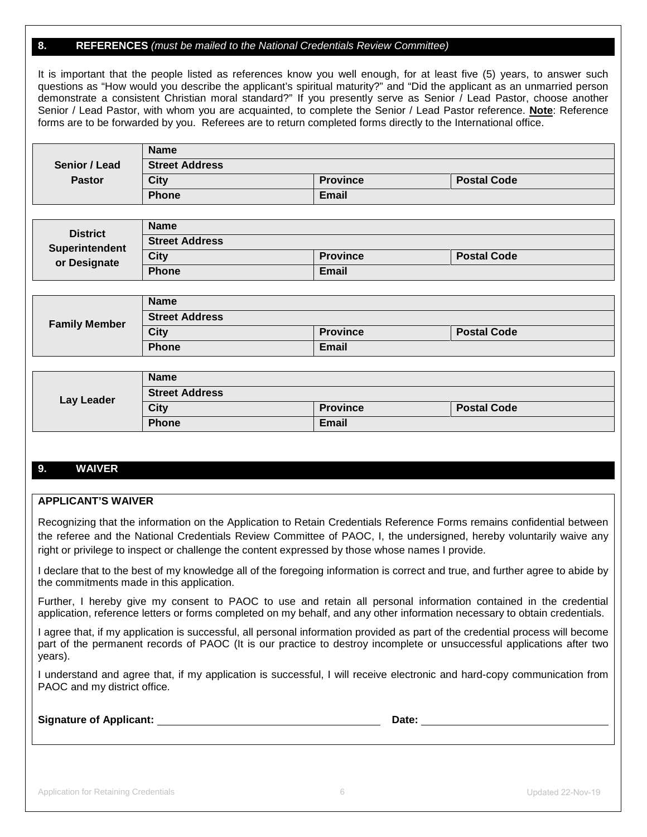#### **8. REFERENCES** *(must be mailed to the National Credentials Review Committee)*

It is important that the people listed as references know you well enough, for at least five (5) years, to answer such questions as "How would you describe the applicant's spiritual maturity?" and "Did the applicant as an unmarried person demonstrate a consistent Christian moral standard?" If you presently serve as Senior / Lead Pastor, choose another Senior / Lead Pastor, with whom you are acquainted, to complete the Senior / Lead Pastor reference. **Note**: Reference forms are to be forwarded by you. Referees are to return completed forms directly to the International office.

|               | <b>Name</b>           |                 |                    |
|---------------|-----------------------|-----------------|--------------------|
| Senior / Lead | <b>Street Address</b> |                 |                    |
| <b>Pastor</b> | <b>City</b>           | <b>Province</b> | <b>Postal Code</b> |
|               | <b>Phone</b>          | Email           |                    |

| <b>District</b>       | <b>Name</b>           |                 |                    |
|-----------------------|-----------------------|-----------------|--------------------|
| <b>Superintendent</b> | <b>Street Address</b> |                 |                    |
| or Designate          | <b>City</b>           | <b>Province</b> | <b>Postal Code</b> |
|                       | <b>Phone</b>          | <b>Email</b>    |                    |

|                      | <b>Name</b>           |                 |                    |  |  |
|----------------------|-----------------------|-----------------|--------------------|--|--|
| <b>Family Member</b> | <b>Street Address</b> |                 |                    |  |  |
|                      | <b>City</b>           | <b>Province</b> | <b>Postal Code</b> |  |  |
|                      | <b>Phone</b>          | <b>Email</b>    |                    |  |  |

|            | <b>Name</b>           |                 |                    |
|------------|-----------------------|-----------------|--------------------|
| Lay Leader | <b>Street Address</b> |                 |                    |
|            | <b>City</b>           | <b>Province</b> | <b>Postal Code</b> |
|            | <b>Phone</b>          | Email           |                    |

#### **9. WAIVER**

#### **APPLICANT'S WAIVER**

Recognizing that the information on the Application to Retain Credentials Reference Forms remains confidential between the referee and the National Credentials Review Committee of PAOC, I, the undersigned, hereby voluntarily waive any right or privilege to inspect or challenge the content expressed by those whose names I provide.

I declare that to the best of my knowledge all of the foregoing information is correct and true, and further agree to abide by the commitments made in this application.

Further, I hereby give my consent to PAOC to use and retain all personal information contained in the credential application, reference letters or forms completed on my behalf, and any other information necessary to obtain credentials.

I agree that, if my application is successful, all personal information provided as part of the credential process will become part of the permanent records of PAOC (It is our practice to destroy incomplete or unsuccessful applications after two years).

I understand and agree that, if my application is successful, I will receive electronic and hard-copy communication from PAOC and my district office.

**Signature of Applicant: Date:**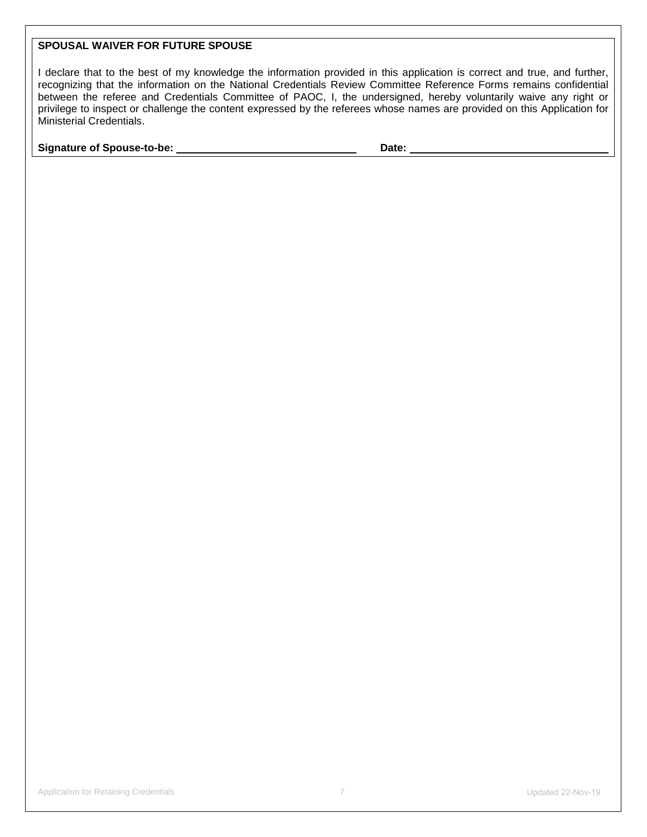#### **SPOUSAL WAIVER FOR FUTURE SPOUSE**

I declare that to the best of my knowledge the information provided in this application is correct and true, and further, recognizing that the information on the National Credentials Review Committee Reference Forms remains confidential between the referee and Credentials Committee of PAOC, I, the undersigned, hereby voluntarily waive any right or privilege to inspect or challenge the content expressed by the referees whose names are provided on this Application for Ministerial Credentials.

**Signature of Spouse-to-be: Date: Date: Date:**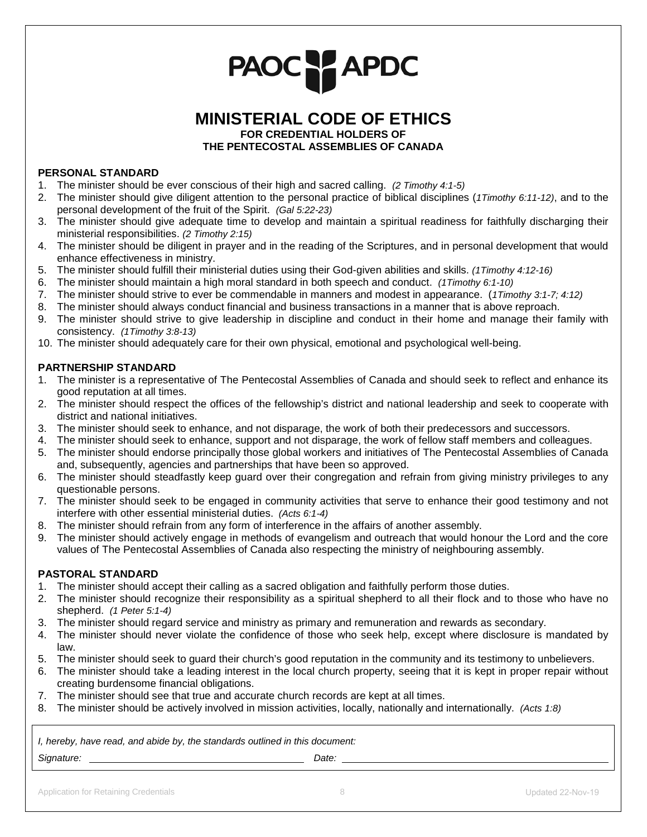# PAOC PAPDC

### **MINISTERIAL CODE OF ETHICS**

**FOR CREDENTIAL HOLDERS OF**

**THE PENTECOSTAL ASSEMBLIES OF CANADA**

#### **PERSONAL STANDARD**

- 1. The minister should be ever conscious of their high and sacred calling. *(2 Timothy 4:1-5)*
- 2. The minister should give diligent attention to the personal practice of biblical disciplines (*1Timothy 6:11-12)*, and to the personal development of the fruit of the Spirit. *(Gal 5:22-23)*
- 3. The minister should give adequate time to develop and maintain a spiritual readiness for faithfully discharging their ministerial responsibilities. *(2 Timothy 2:15)*
- 4. The minister should be diligent in prayer and in the reading of the Scriptures, and in personal development that would enhance effectiveness in ministry.
- 5. The minister should fulfill their ministerial duties using their God-given abilities and skills. *(1Timothy 4:12-16)*
- 6. The minister should maintain a high moral standard in both speech and conduct. *(1Timothy 6:1-10)*
- 7. The minister should strive to ever be commendable in manners and modest in appearance. (*1Timothy 3:1-7; 4:12)*
- 8. The minister should always conduct financial and business transactions in a manner that is above reproach.
- 9. The minister should strive to give leadership in discipline and conduct in their home and manage their family with consistency. *(1Timothy 3:8-13)*
- 10. The minister should adequately care for their own physical, emotional and psychological well-being.

#### **PARTNERSHIP STANDARD**

- 1. The minister is a representative of The Pentecostal Assemblies of Canada and should seek to reflect and enhance its good reputation at all times.
- 2. The minister should respect the offices of the fellowship's district and national leadership and seek to cooperate with district and national initiatives.
- 3. The minister should seek to enhance, and not disparage, the work of both their predecessors and successors.
- 4. The minister should seek to enhance, support and not disparage, the work of fellow staff members and colleagues.
- 5. The minister should endorse principally those global workers and initiatives of The Pentecostal Assemblies of Canada and, subsequently, agencies and partnerships that have been so approved.
- 6. The minister should steadfastly keep guard over their congregation and refrain from giving ministry privileges to any questionable persons.
- 7. The minister should seek to be engaged in community activities that serve to enhance their good testimony and not interfere with other essential ministerial duties. *(Acts 6:1-4)*
- 8. The minister should refrain from any form of interference in the affairs of another assembly.
- 9. The minister should actively engage in methods of evangelism and outreach that would honour the Lord and the core values of The Pentecostal Assemblies of Canada also respecting the ministry of neighbouring assembly.

#### **PASTORAL STANDARD**

- 1. The minister should accept their calling as a sacred obligation and faithfully perform those duties.
- 2. The minister should recognize their responsibility as a spiritual shepherd to all their flock and to those who have no shepherd. *(1 Peter 5:1-4)*
- 3. The minister should regard service and ministry as primary and remuneration and rewards as secondary.
- 4. The minister should never violate the confidence of those who seek help, except where disclosure is mandated by law.
- 5. The minister should seek to guard their church's good reputation in the community and its testimony to unbelievers.
- 6. The minister should take a leading interest in the local church property, seeing that it is kept in proper repair without creating burdensome financial obligations.
- 7. The minister should see that true and accurate church records are kept at all times.
- 8. The minister should be actively involved in mission activities, locally, nationally and internationally. *(Acts 1:8)*

*I, hereby, have read, and abide by, the standards outlined in this document:* 

Signature: <u>Constantine and Constantine and Constantine and Constantine and Constantine and Date: Constantine and Date: Constantine and Date: Constantine and Date: Constantine and Date: Constantine and Date: Constantine an</u>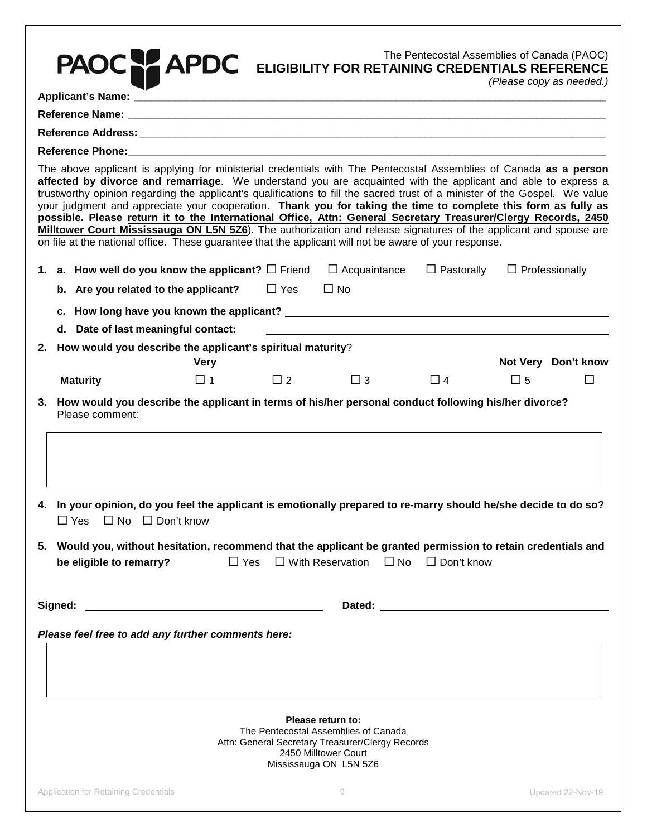| PAOC:                                                                                                                                                                                                                                                                                                                                                                                                                                                                                                                                                                                                                                                                                                                                                                                                                                |             |            | The Pentecostal Assemblies of Canada (PAOC)<br><b>APDC</b> ELIGIBILITY FOR RETAINING CREDENTIALS REFERENCE                                                           | The Pentecostal Assemblies of Canada (PAOC) |             | (Please copy as needed.) |
|--------------------------------------------------------------------------------------------------------------------------------------------------------------------------------------------------------------------------------------------------------------------------------------------------------------------------------------------------------------------------------------------------------------------------------------------------------------------------------------------------------------------------------------------------------------------------------------------------------------------------------------------------------------------------------------------------------------------------------------------------------------------------------------------------------------------------------------|-------------|------------|----------------------------------------------------------------------------------------------------------------------------------------------------------------------|---------------------------------------------|-------------|--------------------------|
|                                                                                                                                                                                                                                                                                                                                                                                                                                                                                                                                                                                                                                                                                                                                                                                                                                      |             |            |                                                                                                                                                                      |                                             |             |                          |
|                                                                                                                                                                                                                                                                                                                                                                                                                                                                                                                                                                                                                                                                                                                                                                                                                                      |             |            |                                                                                                                                                                      |                                             |             |                          |
|                                                                                                                                                                                                                                                                                                                                                                                                                                                                                                                                                                                                                                                                                                                                                                                                                                      |             |            |                                                                                                                                                                      |                                             |             |                          |
|                                                                                                                                                                                                                                                                                                                                                                                                                                                                                                                                                                                                                                                                                                                                                                                                                                      |             |            |                                                                                                                                                                      |                                             |             |                          |
| The above applicant is applying for ministerial credentials with The Pentecostal Assemblies of Canada as a person<br>affected by divorce and remarriage. We understand you are acquainted with the applicant and able to express a<br>trustworthy opinion regarding the applicant's qualifications to fill the sacred trust of a minister of the Gospel. We value<br>your judgment and appreciate your cooperation. Thank you for taking the time to complete this form as fully as<br>possible. Please return it to the International Office, Attn: General Secretary Treasurer/Clergy Records, 2450<br>Milltower Court Mississauga ON L5N 5Z6). The authorization and release signatures of the applicant and spouse are<br>on file at the national office. These guarantee that the applicant will not be aware of your response. |             |            |                                                                                                                                                                      |                                             |             |                          |
| 1. <b>a. How well do you know the applicant?</b> $\Box$ Friend $\Box$ Acquaintance $\Box$ Pastorally $\Box$ Professionally                                                                                                                                                                                                                                                                                                                                                                                                                                                                                                                                                                                                                                                                                                           |             |            |                                                                                                                                                                      |                                             |             |                          |
| b. Are you related to the applicant?                                                                                                                                                                                                                                                                                                                                                                                                                                                                                                                                                                                                                                                                                                                                                                                                 |             | $\Box$ Yes | $\Box$ No                                                                                                                                                            |                                             |             |                          |
|                                                                                                                                                                                                                                                                                                                                                                                                                                                                                                                                                                                                                                                                                                                                                                                                                                      |             |            |                                                                                                                                                                      |                                             |             |                          |
| d. Date of last meaningful contact:                                                                                                                                                                                                                                                                                                                                                                                                                                                                                                                                                                                                                                                                                                                                                                                                  |             |            |                                                                                                                                                                      |                                             |             |                          |
| 2. How would you describe the applicant's spiritual maturity?                                                                                                                                                                                                                                                                                                                                                                                                                                                                                                                                                                                                                                                                                                                                                                        |             |            |                                                                                                                                                                      |                                             |             |                          |
|                                                                                                                                                                                                                                                                                                                                                                                                                                                                                                                                                                                                                                                                                                                                                                                                                                      | <b>Very</b> |            |                                                                                                                                                                      |                                             |             | Not Very Don't know      |
| <b>Maturity</b>                                                                                                                                                                                                                                                                                                                                                                                                                                                                                                                                                                                                                                                                                                                                                                                                                      | $\Box$ 1    | $\Box$ 2   | $\Box$ 3                                                                                                                                                             | $\Box$ 4                                    | $\square$ 5 |                          |
| 4. In your opinion, do you feel the applicant is emotionally prepared to re-marry should he/she decide to do so?                                                                                                                                                                                                                                                                                                                                                                                                                                                                                                                                                                                                                                                                                                                     |             |            |                                                                                                                                                                      |                                             |             |                          |
| $\Box$ No $\Box$ Don't know<br>$\square$ Yes<br>5. Would you, without hesitation, recommend that the applicant be granted permission to retain credentials and<br>be eligible to remarry?                                                                                                                                                                                                                                                                                                                                                                                                                                                                                                                                                                                                                                            |             |            | □ Yes □ With Reservation □ No □ Don't know                                                                                                                           |                                             |             |                          |
| Signed:                                                                                                                                                                                                                                                                                                                                                                                                                                                                                                                                                                                                                                                                                                                                                                                                                              |             |            |                                                                                                                                                                      |                                             |             |                          |
| Please feel free to add any further comments here:                                                                                                                                                                                                                                                                                                                                                                                                                                                                                                                                                                                                                                                                                                                                                                                   |             |            |                                                                                                                                                                      |                                             |             |                          |
|                                                                                                                                                                                                                                                                                                                                                                                                                                                                                                                                                                                                                                                                                                                                                                                                                                      |             |            | Please return to:<br>The Pentecostal Assemblies of Canada<br>Attn: General Secretary Treasurer/Clergy Records<br>2450 Milltower Court<br>Mississauga ON L5N 5Z6<br>9 |                                             |             | Updated 22-Nov-19        |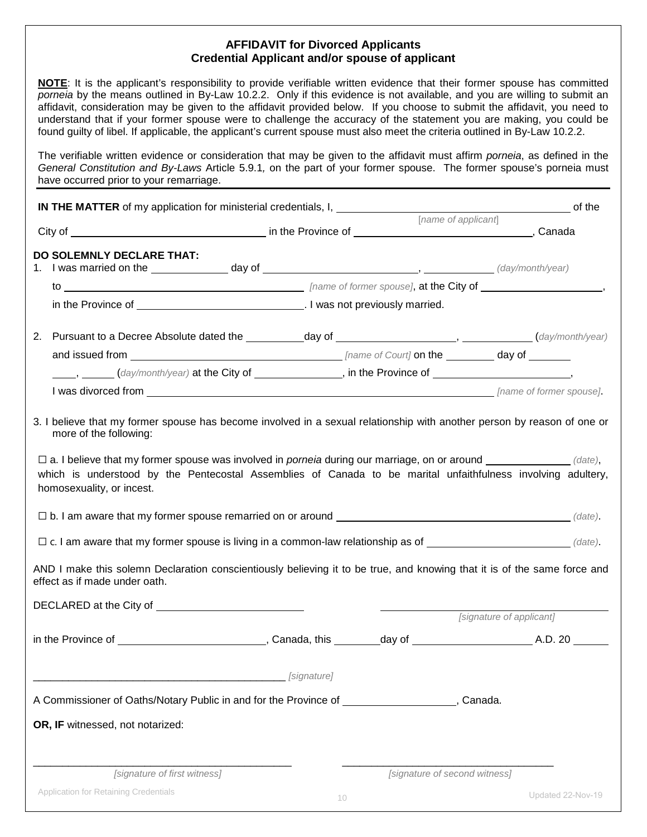#### **AFFIDAVIT for Divorced Applicants Credential Applicant and/or spouse of applicant**

**NOTE**: It is the applicant's responsibility to provide verifiable written evidence that their former spouse has committed *porneia* by the means outlined in By-Law 10.2.2. Only if this evidence is not available, and you are willing to submit an affidavit, consideration may be given to the affidavit provided below. If you choose to submit the affidavit, you need to understand that if your former spouse were to challenge the accuracy of the statement you are making, you could be found guilty of libel. If applicable, the applicant's current spouse must also meet the criteria outlined in By-Law 10.2.2.

The verifiable written evidence or consideration that may be given to the affidavit must affirm *porneia*, as defined in the *General Constitution and By-Laws* Article 5.9.1*,* on the part of your former spouse. The former spouse's porneia must have occurred prior to your remarriage.

|                                                                                                                                                                                                                                                             |             | [name of applicant]           |                          |
|-------------------------------------------------------------------------------------------------------------------------------------------------------------------------------------------------------------------------------------------------------------|-------------|-------------------------------|--------------------------|
| <b>DO SOLEMNLY DECLARE THAT:</b>                                                                                                                                                                                                                            |             |                               |                          |
|                                                                                                                                                                                                                                                             |             |                               |                          |
|                                                                                                                                                                                                                                                             |             |                               |                          |
|                                                                                                                                                                                                                                                             |             |                               |                          |
|                                                                                                                                                                                                                                                             |             |                               |                          |
|                                                                                                                                                                                                                                                             |             |                               |                          |
| (day/month/year) at the City of _____________, in the Province of _______________,                                                                                                                                                                          |             |                               |                          |
|                                                                                                                                                                                                                                                             |             |                               |                          |
| $\Box$ c. I am aware that my former spouse is living in a common-law relationship as of $\Box$<br>AND I make this solemn Declaration conscientiously believing it to be true, and knowing that it is of the same force and<br>effect as if made under oath. |             |                               |                          |
|                                                                                                                                                                                                                                                             |             |                               |                          |
|                                                                                                                                                                                                                                                             |             |                               | [signature of applicant] |
|                                                                                                                                                                                                                                                             |             |                               |                          |
|                                                                                                                                                                                                                                                             | [signature] |                               |                          |
| A Commissioner of Oaths/Notary Public in and for the Province of The Canada.                                                                                                                                                                                |             |                               |                          |
| OR, IF witnessed, not notarized:                                                                                                                                                                                                                            |             |                               |                          |
| [signature of first witness]                                                                                                                                                                                                                                |             |                               |                          |
|                                                                                                                                                                                                                                                             |             |                               |                          |
| <b>Application for Retaining Credentials</b>                                                                                                                                                                                                                |             | [signature of second witness] | Updated 22-Nov-19        |